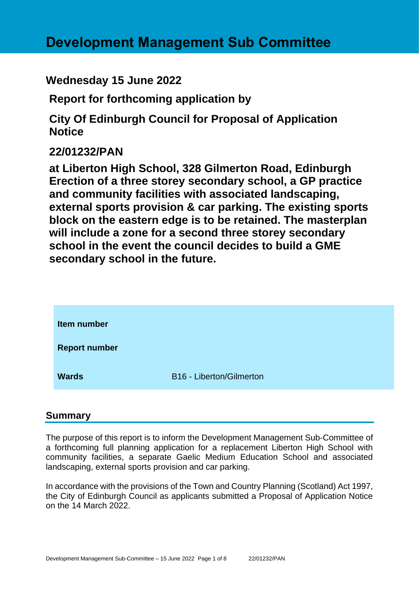# **Wednesday 15 June 2022**

**Report for forthcoming application by**

**City Of Edinburgh Council for Proposal of Application Notice** 

# **22/01232/PAN**

**at Liberton High School, 328 Gilmerton Road, Edinburgh Erection of a three storey secondary school, a GP practice and community facilities with associated landscaping, external sports provision & car parking. The existing sports block on the eastern edge is to be retained. The masterplan will include a zone for a second three storey secondary school in the event the council decides to build a GME secondary school in the future.**

| Item number          |                          |
|----------------------|--------------------------|
| <b>Report number</b> |                          |
| <b>Wards</b>         | B16 - Liberton/Gilmerton |

# **Summary**

The purpose of this report is to inform the Development Management Sub-Committee of a forthcoming full planning application for a replacement Liberton High School with community facilities, a separate Gaelic Medium Education School and associated landscaping, external sports provision and car parking.

In accordance with the provisions of the Town and Country Planning (Scotland) Act 1997, the City of Edinburgh Council as applicants submitted a Proposal of Application Notice on the 14 March 2022.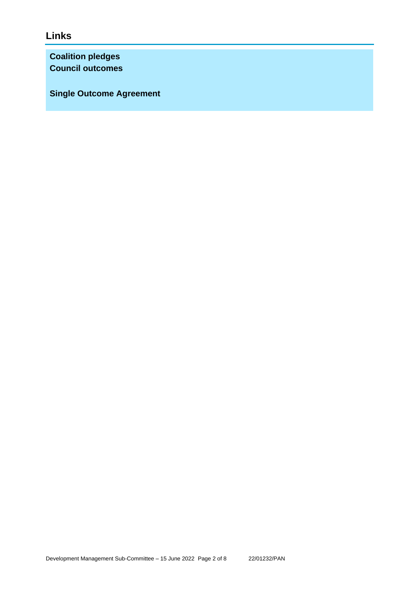# **Links**

**Coalition pledges Council outcomes**

**Single Outcome Agreement**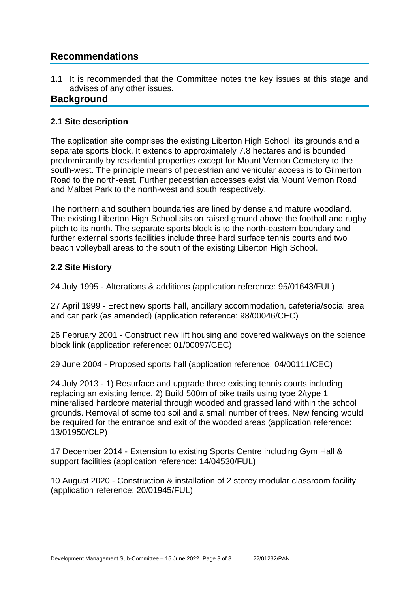# **Recommendations**

**1.1** It is recommended that the Committee notes the key issues at this stage and advises of any other issues.

### **Background**

#### **2.1 Site description**

The application site comprises the existing Liberton High School, its grounds and a separate sports block. It extends to approximately 7.8 hectares and is bounded predominantly by residential properties except for Mount Vernon Cemetery to the south-west. The principle means of pedestrian and vehicular access is to Gilmerton Road to the north-east. Further pedestrian accesses exist via Mount Vernon Road and Malbet Park to the north-west and south respectively.

The northern and southern boundaries are lined by dense and mature woodland. The existing Liberton High School sits on raised ground above the football and rugby pitch to its north. The separate sports block is to the north-eastern boundary and further external sports facilities include three hard surface tennis courts and two beach volleyball areas to the south of the existing Liberton High School.

### **2.2 Site History**

24 July 1995 - Alterations & additions (application reference: 95/01643/FUL)

27 April 1999 - Erect new sports hall, ancillary accommodation, cafeteria/social area and car park (as amended) (application reference: 98/00046/CEC)

26 February 2001 - Construct new lift housing and covered walkways on the science block link (application reference: 01/00097/CEC)

29 June 2004 - Proposed sports hall (application reference: 04/00111/CEC)

24 July 2013 - 1) Resurface and upgrade three existing tennis courts including replacing an existing fence. 2) Build 500m of bike trails using type 2/type 1 mineralised hardcore material through wooded and grassed land within the school grounds. Removal of some top soil and a small number of trees. New fencing would be required for the entrance and exit of the wooded areas (application reference: 13/01950/CLP)

17 December 2014 - Extension to existing Sports Centre including Gym Hall & support facilities (application reference: 14/04530/FUL)

10 August 2020 - Construction & installation of 2 storey modular classroom facility (application reference: 20/01945/FUL)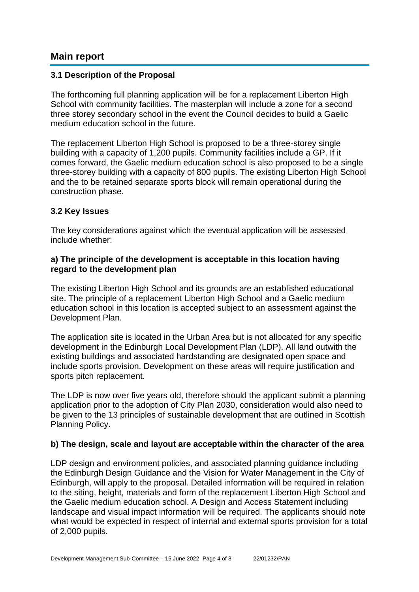### **Main report**

#### **3.1 Description of the Proposal**

The forthcoming full planning application will be for a replacement Liberton High School with community facilities. The masterplan will include a zone for a second three storey secondary school in the event the Council decides to build a Gaelic medium education school in the future.

The replacement Liberton High School is proposed to be a three-storey single building with a capacity of 1,200 pupils. Community facilities include a GP. If it comes forward, the Gaelic medium education school is also proposed to be a single three-storey building with a capacity of 800 pupils. The existing Liberton High School and the to be retained separate sports block will remain operational during the construction phase.

#### **3.2 Key Issues**

The key considerations against which the eventual application will be assessed include whether:

#### **a) The principle of the development is acceptable in this location having regard to the development plan**

The existing Liberton High School and its grounds are an established educational site. The principle of a replacement Liberton High School and a Gaelic medium education school in this location is accepted subject to an assessment against the Development Plan.

The application site is located in the Urban Area but is not allocated for any specific development in the Edinburgh Local Development Plan (LDP). All land outwith the existing buildings and associated hardstanding are designated open space and include sports provision. Development on these areas will require justification and sports pitch replacement.

The LDP is now over five years old, therefore should the applicant submit a planning application prior to the adoption of City Plan 2030, consideration would also need to be given to the 13 principles of sustainable development that are outlined in Scottish Planning Policy.

#### **b) The design, scale and layout are acceptable within the character of the area**

LDP design and environment policies, and associated planning guidance including the Edinburgh Design Guidance and the Vision for Water Management in the City of Edinburgh, will apply to the proposal. Detailed information will be required in relation to the siting, height, materials and form of the replacement Liberton High School and the Gaelic medium education school. A Design and Access Statement including landscape and visual impact information will be required. The applicants should note what would be expected in respect of internal and external sports provision for a total of 2,000 pupils.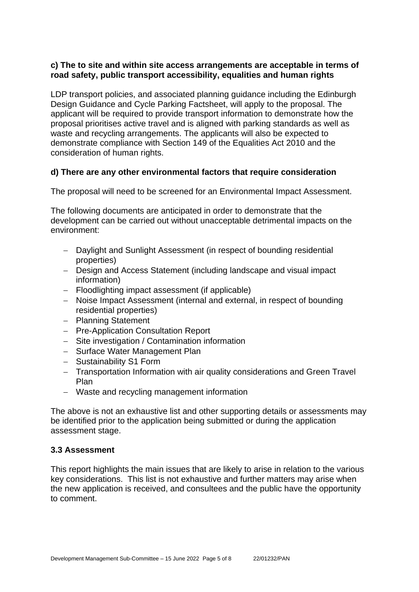### **c) The to site and within site access arrangements are acceptable in terms of road safety, public transport accessibility, equalities and human rights**

LDP transport policies, and associated planning guidance including the Edinburgh Design Guidance and Cycle Parking Factsheet, will apply to the proposal. The applicant will be required to provide transport information to demonstrate how the proposal prioritises active travel and is aligned with parking standards as well as waste and recycling arrangements. The applicants will also be expected to demonstrate compliance with Section 149 of the Equalities Act 2010 and the consideration of human rights.

### **d) There are any other environmental factors that require consideration**

The proposal will need to be screened for an Environmental Impact Assessment.

The following documents are anticipated in order to demonstrate that the development can be carried out without unacceptable detrimental impacts on the environment:

- − Daylight and Sunlight Assessment (in respect of bounding residential properties)
- − Design and Access Statement (including landscape and visual impact information)
- − Floodlighting impact assessment (if applicable)
- − Noise Impact Assessment (internal and external, in respect of bounding residential properties)
- − Planning Statement
- − Pre-Application Consultation Report
- − Site investigation / Contamination information
- − Surface Water Management Plan
- − Sustainability S1 Form
- − Transportation Information with air quality considerations and Green Travel Plan
- − Waste and recycling management information

The above is not an exhaustive list and other supporting details or assessments may be identified prior to the application being submitted or during the application assessment stage.

#### **3.3 Assessment**

This report highlights the main issues that are likely to arise in relation to the various key considerations. This list is not exhaustive and further matters may arise when the new application is received, and consultees and the public have the opportunity to comment.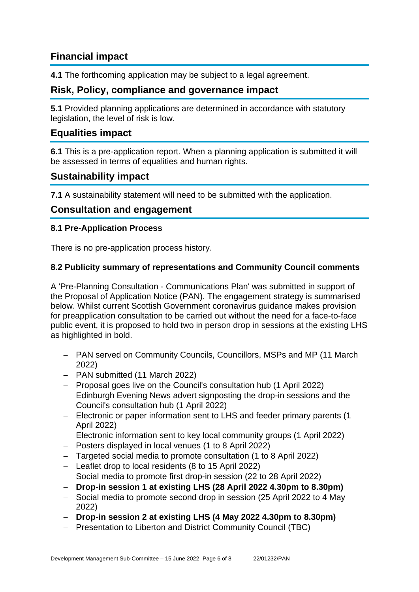# **Financial impact**

**4.1** The forthcoming application may be subject to a legal agreement.

# **Risk, Policy, compliance and governance impact**

**5.1** Provided planning applications are determined in accordance with statutory legislation, the level of risk is low.

### **Equalities impact**

**6.1** This is a pre-application report. When a planning application is submitted it will be assessed in terms of equalities and human rights.

### **Sustainability impact**

**7.1** A sustainability statement will need to be submitted with the application.

### **Consultation and engagement**

#### **8.1 Pre-Application Process**

There is no pre-application process history.

#### **8.2 Publicity summary of representations and Community Council comments**

A 'Pre-Planning Consultation - Communications Plan' was submitted in support of the Proposal of Application Notice (PAN). The engagement strategy is summarised below. Whilst current Scottish Government coronavirus guidance makes provision for preapplication consultation to be carried out without the need for a face-to-face public event, it is proposed to hold two in person drop in sessions at the existing LHS as highlighted in bold.

- − PAN served on Community Councils, Councillors, MSPs and MP (11 March 2022)
- − PAN submitted (11 March 2022)
- − Proposal goes live on the Council's consultation hub (1 April 2022)
- − Edinburgh Evening News advert signposting the drop-in sessions and the Council's consultation hub (1 April 2022)
- − Electronic or paper information sent to LHS and feeder primary parents (1 April 2022)
- − Electronic information sent to key local community groups (1 April 2022)
- − Posters displayed in local venues (1 to 8 April 2022)
- − Targeted social media to promote consultation (1 to 8 April 2022)
- − Leaflet drop to local residents (8 to 15 April 2022)
- − Social media to promote first drop-in session (22 to 28 April 2022)
- − **Drop-in session 1 at existing LHS (28 April 2022 4.30pm to 8.30pm)**
- − Social media to promote second drop in session (25 April 2022 to 4 May 2022)
- − **Drop-in session 2 at existing LHS (4 May 2022 4.30pm to 8.30pm)**
- − Presentation to Liberton and District Community Council (TBC)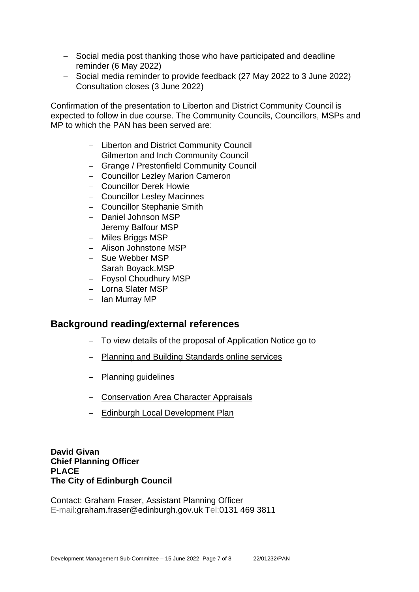- − Social media post thanking those who have participated and deadline reminder (6 May 2022)
- − Social media reminder to provide feedback (27 May 2022 to 3 June 2022)
- − Consultation closes (3 June 2022)

Confirmation of the presentation to Liberton and District Community Council is expected to follow in due course. The Community Councils, Councillors, MSPs and MP to which the PAN has been served are:

- − Liberton and District Community Council
- − Gilmerton and Inch Community Council
- − Grange / Prestonfield Community Council
- − Councillor Lezley Marion Cameron
- − Councillor Derek Howie
- − Councillor Lesley Macinnes
- − Councillor Stephanie Smith
- − Daniel Johnson MSP
- − Jeremy Balfour MSP
- − Miles Briggs MSP
- − Alison Johnstone MSP
- − Sue Webber MSP
- − Sarah Boyack.MSP
- − Foysol Choudhury MSP
- − Lorna Slater MSP
- − Ian Murray MP

### **Background reading/external references**

- − To view details of the proposal of Application Notice go to
- − [Planning and Building Standards online services](https://citydev-portal.edinburgh.gov.uk/idoxpa-web/search.do?action=simple&searchType=Application)
- − [Planning guidelines](http://www.edinburgh.gov.uk/planningguidelines)
- − [Conservation Area Character Appraisals](http://www.edinburgh.gov.uk/characterappraisals)
- − [Edinburgh Local Development Plan](http://www.edinburgh.gov.uk/info/20164/proposed_local_development_plan/66/local_development_plan)

**David Givan Chief Planning Officer PLACE The City of Edinburgh Council**

Contact: Graham Fraser, Assistant Planning Officer E-mail:graham.fraser@edinburgh.gov.uk Tel:0131 469 3811